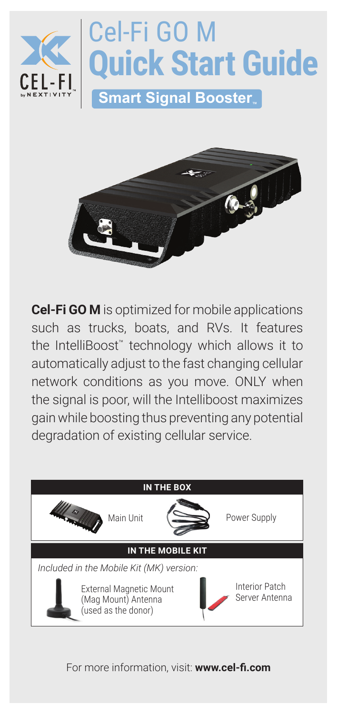



**Cel-Fi GO M** is optimized for mobile applications such as trucks, boats, and RVs. It features the IntelliBoost™ technology which allows it to automatically adjust to the fast changing cellular network conditions as you move. ONLY when the signal is poor, will the Intelliboost maximizes gain while boosting thus preventing any potential degradation of existing cellular service.



For more information, visit: **www.cel-fi.com**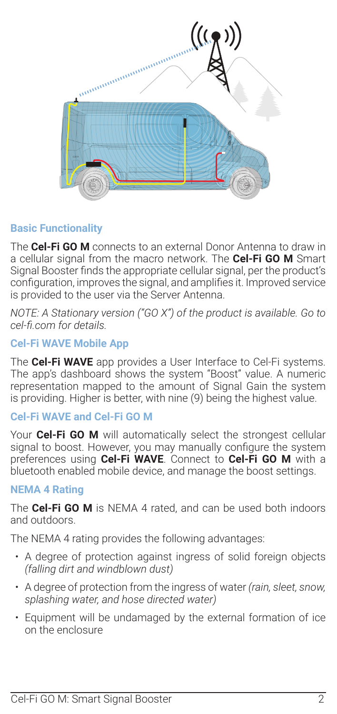

#### **Basic Functionality**

The **Cel-Fi GO M** connects to an external Donor Antenna to draw in a cellular signal from the macro network. The **Cel-Fi GO M** Smart Signal Booster finds the appropriate cellular signal, per the product's configuration, improves the signal, and amplifies it. Improved service is provided to the user via the Server Antenna.

*NOTE: A Stationary version ("GO X") of the product is available. Go to cel-fi.com for details.*

#### **Cel-Fi WAVE Mobile App**

The **Cel-Fi WAVE** app provides a User Interface to Cel-Fi systems. The app's dashboard shows the system "Boost" value. A numeric representation mapped to the amount of Signal Gain the system is providing. Higher is better, with nine (9) being the highest value.

### **Cel-Fi WAVE and Cel-Fi GO M**

Your **Cel-Fi GO M** will automatically select the strongest cellular signal to boost. However, you may manually configure the system preferences using **Cel-Fi WAVE**. Connect to **Cel-Fi GO M** with a bluetooth enabled mobile device, and manage the boost settings.

#### **NEMA 4 Rating**

The **Cel-Fi GO M** is NEMA 4 rated, and can be used both indoors and outdoors.

The NEMA 4 rating provides the following advantages:

- A degree of protection against ingress of solid foreign objects *(falling dirt and windblown dust)*
- A degree of protection from the ingress of water *(rain, sleet, snow, splashing water, and hose directed water)*
- Equipment will be undamaged by the external formation of ice on the enclosure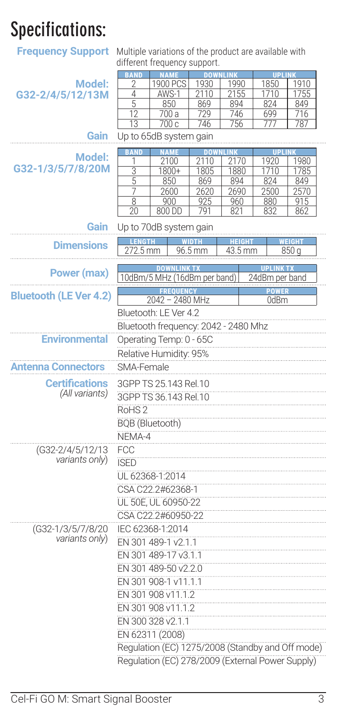# **Specifications:**

## **Frequency Support** Multiple variations of the product are available with different frequency support.

|                                                  |                        | modacing pappoint                                |              |              |                  |       |
|--------------------------------------------------|------------------------|--------------------------------------------------|--------------|--------------|------------------|-------|
|                                                  | <b>BAND</b>            |                                                  | <b>DOV</b>   |              | <b>UPLINK</b>    |       |
| <b>Model:</b>                                    | $\overline{2}$         | 1900 PCS                                         | 1930         | 1990         | 1850             | 1910  |
| G32-2/4/5/12/13M                                 | 4                      | AWS-1                                            | 2110         | 2155         | 1710             | 1755  |
|                                                  | 5                      | 850                                              | 869          | 894          | 824              | 849   |
|                                                  | 12                     | 700 a                                            | 729          | 746          | 699              | 716   |
|                                                  | 13                     | 700 с                                            | 746          | 756          | 777              | 787   |
| Gain                                             |                        | Up to 65dB system gain                           |              |              |                  |       |
|                                                  | ÁŃ                     |                                                  |              |              |                  |       |
| Model:                                           | Τ                      | 2100                                             | 2110         | 2170         | 1920             | 1980  |
| G32-1/3/5/7/8/20M                                | 3                      | 1800+                                            | 1805         | 1880         | 1710             | 1785  |
|                                                  | 5                      | 850                                              | 869          | 894          | 824              | 849   |
|                                                  | 7                      | 2600                                             | 2620         | 2690         | 2500             | 2570  |
|                                                  | 8                      | 900                                              | 925          | 960          | 880              | 915   |
|                                                  | 20                     | 800 DD                                           | 791          | 821          | 832              | 862   |
| Gain                                             |                        | Up to 70dB system gain                           |              |              |                  |       |
|                                                  | <b>LENGTH</b>          |                                                  | <b>WIDTH</b> | <u>HEIGI</u> |                  | EIGHT |
| <b>Dimensions</b>                                | 272.5 mm               |                                                  | 96.5 mm      | 43.5 mm      |                  | 850 a |
|                                                  |                        |                                                  |              |              |                  |       |
| Power (max)                                      |                        | <b>NNLINK T)</b>                                 |              |              | <b>JPLINK TX</b> |       |
|                                                  |                        | 10dBm/5 MHz (16dBm per band)                     |              |              | 24dBm per band   |       |
|                                                  |                        |                                                  |              |              | <b>POWER</b>     |       |
| <b>Bluetooth (LE Ver 4.2)</b>                    |                        | 2042 - 2480 MHz                                  |              |              | 0dBm             |       |
|                                                  |                        | Bluetooth: LE Ver 4.2                            |              |              |                  |       |
|                                                  |                        |                                                  |              |              |                  |       |
|                                                  |                        | Bluetooth frequency: 2042 - 2480 Mhz             |              |              |                  |       |
| <b>Environmental</b>                             |                        | Operating Temp: 0 - 65C                          |              |              |                  |       |
|                                                  |                        | Relative Humidity: 95%                           |              |              |                  |       |
|                                                  |                        |                                                  |              |              |                  |       |
| Antenna Connectors                               | SMA-Female             |                                                  |              |              |                  |       |
| <b>Certifications</b>                            |                        | 3GPP TS 25.143 Rel.10                            |              |              |                  |       |
| (All variants)                                   | 3GPP TS 36.143 Rel.10  |                                                  |              |              |                  |       |
|                                                  |                        |                                                  |              |              |                  |       |
|                                                  | RoHS <sub>2</sub>      |                                                  |              |              |                  |       |
|                                                  | <b>BQB</b> (Bluetooth) |                                                  |              |              |                  |       |
|                                                  | NEMA-4                 |                                                  |              |              |                  |       |
|                                                  |                        |                                                  |              |              |                  |       |
| (G32-2/4/5/12/13)                                | FCC                    |                                                  |              |              |                  |       |
| variants only)                                   | <b>ISED</b>            |                                                  |              |              |                  |       |
|                                                  | UL 62368-1:2014        |                                                  |              |              |                  |       |
|                                                  |                        | CSA C22.2#62368-1                                |              |              |                  |       |
|                                                  |                        |                                                  |              |              |                  |       |
|                                                  |                        | UL 50E, UL 60950-22                              |              |              |                  |       |
|                                                  |                        | CSA C22.2#60950-22                               |              |              |                  |       |
| (G32-1/3/5/7/8/20                                | IEC 62368-1:2014       |                                                  |              |              |                  |       |
| variants only)                                   |                        |                                                  |              |              |                  |       |
|                                                  |                        | EN 301 489-1 v2.1.1                              |              |              |                  |       |
|                                                  |                        | EN 301 489-17 v3.1.1                             |              |              |                  |       |
|                                                  |                        | EN 301 489-50 v2.2.0                             |              |              |                  |       |
|                                                  |                        | EN 301 908-1 v11.1.1                             |              |              |                  |       |
|                                                  |                        |                                                  |              |              |                  |       |
|                                                  |                        | EN 301 908 v11.1.2                               |              |              |                  |       |
|                                                  |                        | EN 301 908 v11.1.2                               |              |              |                  |       |
|                                                  |                        | EN 300 328 v2.1.1                                |              |              |                  |       |
|                                                  |                        |                                                  |              |              |                  |       |
|                                                  | EN 62311 (2008)        |                                                  |              |              |                  |       |
|                                                  |                        | Regulation (EC) 1275/2008 (Standby and Off mode) |              |              |                  |       |
| Regulation (EC) 278/2009 (External Power Supply) |                        |                                                  |              |              |                  |       |
|                                                  |                        |                                                  |              |              |                  |       |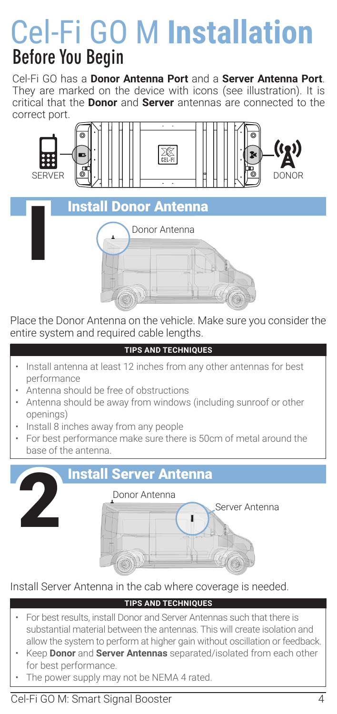# **Before You Begin** Cel-Fi GO M **Installation**

Cel-Fi GO has a **Donor Antenna Port** and a **Server Antenna Port**. They are marked on the device with icons (see illustration). It is critical that the **Donor** and **Server** antennas are connected to the correct port.





Place the Donor Antenna on the vehicle. Make sure you consider the entire system and required cable lengths.

#### **TIPS AND TECHNIQUES**

- Install antenna at least 12 inches from any other antennas for best performance
- Antenna should be free of obstructions
- Antenna should be away from windows (including sunroof or other openings)
- Install 8 inches away from any people
- For best performance make sure there is 50cm of metal around the base of the antenna.



### Install Server Antenna in the cab where coverage is needed.

### **TIPS AND TECHNIQUES**

- For best results, install Donor and Server Antennas such that there is substantial material between the antennas. This will create isolation and allow the system to perform at higher gain without oscillation or feedback.
- Keep **Donor** and **Server Antennas** separated/isolated from each other for best performance.
- The power supply may not be NEMA 4 rated.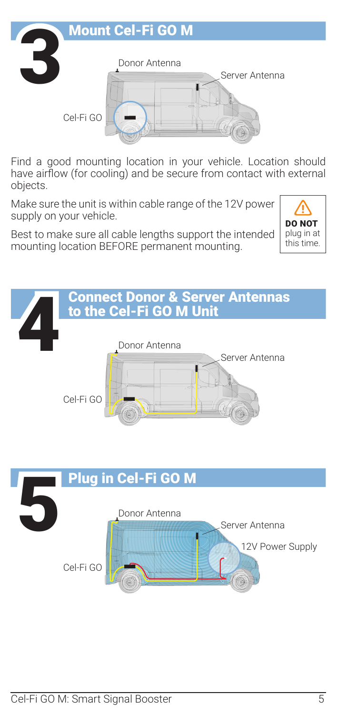

Find a good mounting location in your vehicle. Location should have airflow (for cooling) and be secure from contact with external objects.

Make sure the unit is within cable range of the 12V power supply on your vehicle.

Best to make sure all cable lengths support the intended mounting location BEFORE permanent mounting.